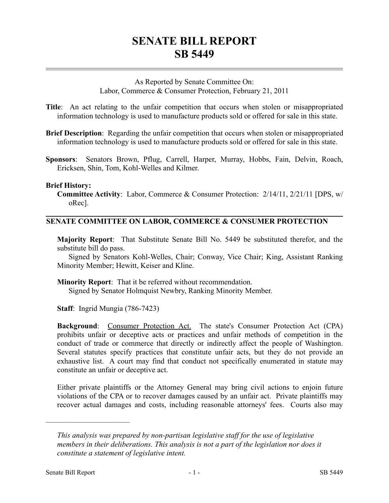# **SENATE BILL REPORT SB 5449**

As Reported by Senate Committee On: Labor, Commerce & Consumer Protection, February 21, 2011

**Title**: An act relating to the unfair competition that occurs when stolen or misappropriated information technology is used to manufacture products sold or offered for sale in this state.

- **Brief Description**: Regarding the unfair competition that occurs when stolen or misappropriated information technology is used to manufacture products sold or offered for sale in this state.
- **Sponsors**: Senators Brown, Pflug, Carrell, Harper, Murray, Hobbs, Fain, Delvin, Roach, Ericksen, Shin, Tom, Kohl-Welles and Kilmer.

### **Brief History:**

**Committee Activity**: Labor, Commerce & Consumer Protection: 2/14/11, 2/21/11 [DPS, w/ oRec].

## **SENATE COMMITTEE ON LABOR, COMMERCE & CONSUMER PROTECTION**

**Majority Report**: That Substitute Senate Bill No. 5449 be substituted therefor, and the substitute bill do pass.

Signed by Senators Kohl-Welles, Chair; Conway, Vice Chair; King, Assistant Ranking Minority Member; Hewitt, Keiser and Kline.

**Minority Report**: That it be referred without recommendation. Signed by Senator Holmquist Newbry, Ranking Minority Member.

**Staff**: Ingrid Mungia (786-7423)

**Background**: Consumer Protection Act. The state's Consumer Protection Act (CPA) prohibits unfair or deceptive acts or practices and unfair methods of competition in the conduct of trade or commerce that directly or indirectly affect the people of Washington. Several statutes specify practices that constitute unfair acts, but they do not provide an exhaustive list. A court may find that conduct not specifically enumerated in statute may constitute an unfair or deceptive act.

Either private plaintiffs or the Attorney General may bring civil actions to enjoin future violations of the CPA or to recover damages caused by an unfair act. Private plaintiffs may recover actual damages and costs, including reasonable attorneys' fees. Courts also may

––––––––––––––––––––––

*This analysis was prepared by non-partisan legislative staff for the use of legislative members in their deliberations. This analysis is not a part of the legislation nor does it constitute a statement of legislative intent.*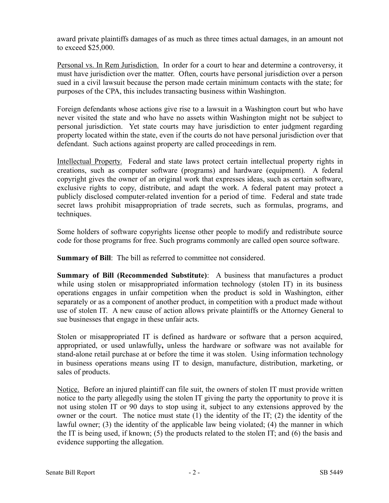award private plaintiffs damages of as much as three times actual damages, in an amount not to exceed \$25,000.

Personal vs. In Rem Jurisdiction. In order for a court to hear and determine a controversy, it must have jurisdiction over the matter. Often, courts have personal jurisdiction over a person sued in a civil lawsuit because the person made certain minimum contacts with the state; for purposes of the CPA, this includes transacting business within Washington.

Foreign defendants whose actions give rise to a lawsuit in a Washington court but who have never visited the state and who have no assets within Washington might not be subject to personal jurisdiction. Yet state courts may have jurisdiction to enter judgment regarding property located within the state, even if the courts do not have personal jurisdiction over that defendant. Such actions against property are called proceedings in rem.

Intellectual Property. Federal and state laws protect certain intellectual property rights in creations, such as computer software (programs) and hardware (equipment). A federal copyright gives the owner of an original work that expresses ideas, such as certain software, exclusive rights to copy, distribute, and adapt the work. A federal patent may protect a publicly disclosed computer-related invention for a period of time. Federal and state trade secret laws prohibit misappropriation of trade secrets, such as formulas, programs, and techniques.

Some holders of software copyrights license other people to modify and redistribute source code for those programs for free. Such programs commonly are called open source software.

**Summary of Bill:** The bill as referred to committee not considered.

**Summary of Bill (Recommended Substitute)**: A business that manufactures a product while using stolen or misappropriated information technology (stolen IT) in its business operations engages in unfair competition when the product is sold in Washington, either separately or as a component of another product, in competition with a product made without use of stolen IT. A new cause of action allows private plaintiffs or the Attorney General to sue businesses that engage in these unfair acts.

Stolen or misappropriated IT is defined as hardware or software that a person acquired, appropriated, or used unlawfully**,** unless the hardware or software was not available for stand-alone retail purchase at or before the time it was stolen. Using information technology in business operations means using IT to design, manufacture, distribution, marketing, or sales of products.

Notice. Before an injured plaintiff can file suit, the owners of stolen IT must provide written notice to the party allegedly using the stolen IT giving the party the opportunity to prove it is not using stolen IT or 90 days to stop using it, subject to any extensions approved by the owner or the court. The notice must state (1) the identity of the IT; (2) the identity of the lawful owner; (3) the identity of the applicable law being violated; (4) the manner in which the IT is being used, if known; (5) the products related to the stolen IT; and (6) the basis and evidence supporting the allegation.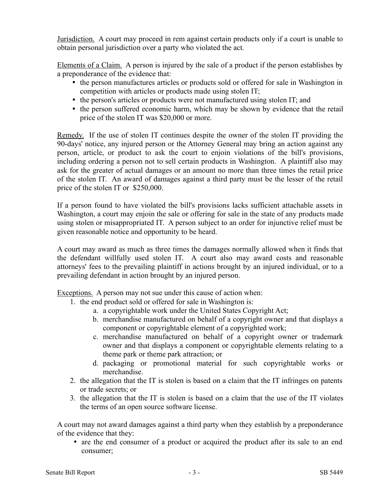Jurisdiction. A court may proceed in rem against certain products only if a court is unable to obtain personal jurisdiction over a party who violated the act.

Elements of a Claim. A person is injured by the sale of a product if the person establishes by a preponderance of the evidence that:

- the person manufactures articles or products sold or offered for sale in Washington in competition with articles or products made using stolen IT;
- the person's articles or products were not manufactured using stolen IT; and
- the person suffered economic harm, which may be shown by evidence that the retail price of the stolen IT was \$20,000 or more.

Remedy. If the use of stolen IT continues despite the owner of the stolen IT providing the 90-days' notice, any injured person or the Attorney General may bring an action against any person, article, or product to ask the court to enjoin violations of the bill's provisions, including ordering a person not to sell certain products in Washington. A plaintiff also may ask for the greater of actual damages or an amount no more than three times the retail price of the stolen IT. An award of damages against a third party must be the lesser of the retail price of the stolen IT or \$250,000.

If a person found to have violated the bill's provisions lacks sufficient attachable assets in Washington, a court may enjoin the sale or offering for sale in the state of any products made using stolen or misappropriated IT. A person subject to an order for injunctive relief must be given reasonable notice and opportunity to be heard.

A court may award as much as three times the damages normally allowed when it finds that the defendant willfully used stolen IT. A court also may award costs and reasonable attorneys' fees to the prevailing plaintiff in actions brought by an injured individual, or to a prevailing defendant in action brought by an injured person.

Exceptions. A person may not sue under this cause of action when:

- 1. the end product sold or offered for sale in Washington is:
	- a. a copyrightable work under the United States Copyright Act;
	- b. merchandise manufactured on behalf of a copyright owner and that displays a component or copyrightable element of a copyrighted work;
	- c. merchandise manufactured on behalf of a copyright owner or trademark owner and that displays a component or copyrightable elements relating to a theme park or theme park attraction; or
	- d. packaging or promotional material for such copyrightable works or merchandise.
- 2. the allegation that the IT is stolen is based on a claim that the IT infringes on patents or trade secrets; or
- 3. the allegation that the IT is stolen is based on a claim that the use of the IT violates the terms of an open source software license.

A court may not award damages against a third party when they establish by a preponderance of the evidence that they:

 are the end consumer of a product or acquired the product after its sale to an end consumer;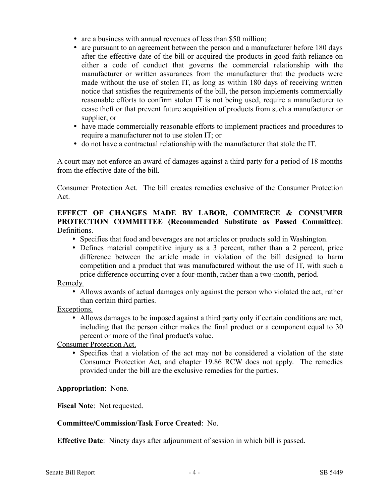- are a business with annual revenues of less than \$50 million;
- are pursuant to an agreement between the person and a manufacturer before 180 days after the effective date of the bill or acquired the products in good-faith reliance on either a code of conduct that governs the commercial relationship with the manufacturer or written assurances from the manufacturer that the products were made without the use of stolen IT, as long as within 180 days of receiving written notice that satisfies the requirements of the bill, the person implements commercially reasonable efforts to confirm stolen IT is not being used, require a manufacturer to cease theft or that prevent future acquisition of products from such a manufacturer or supplier; or
- have made commercially reasonable efforts to implement practices and procedures to require a manufacturer not to use stolen IT; or
- do not have a contractual relationship with the manufacturer that stole the IT.

A court may not enforce an award of damages against a third party for a period of 18 months from the effective date of the bill.

Consumer Protection Act. The bill creates remedies exclusive of the Consumer Protection Act.

## **EFFECT OF CHANGES MADE BY LABOR, COMMERCE & CONSUMER PROTECTION COMMITTEE (Recommended Substitute as Passed Committee)**: Definitions.

- Specifies that food and beverages are not articles or products sold in Washington.
- Defines material competitive injury as a 3 percent, rather than a 2 percent, price difference between the article made in violation of the bill designed to harm competition and a product that was manufactured without the use of IT, with such a price difference occurring over a four-month, rather than a two-month, period.

Remedy.

 Allows awards of actual damages only against the person who violated the act, rather than certain third parties.

Exceptions.

 Allows damages to be imposed against a third party only if certain conditions are met, including that the person either makes the final product or a component equal to 30 percent or more of the final product's value.

Consumer Protection Act.

 Specifies that a violation of the act may not be considered a violation of the state Consumer Protection Act, and chapter 19.86 RCW does not apply. The remedies provided under the bill are the exclusive remedies for the parties.

**Appropriation**: None.

**Fiscal Note**: Not requested.

### **Committee/Commission/Task Force Created**: No.

**Effective Date**: Ninety days after adjournment of session in which bill is passed.